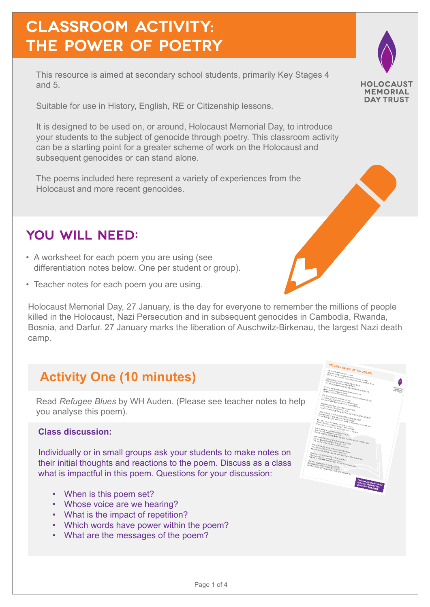# **Classroom activity: the power of poetry**

This resource is aimed at secondary school students, primarily Key Stages 4 and 5.

Suitable for use in History, English, RE or Citizenship lessons.

It is designed to be used on, or around, Holocaust Memorial Day, to introduce your students to the subject of genocide through poetry. This classroom activity can be a starting point for a greater scheme of work on the Holocaust and subsequent genocides or can stand alone.

The poems included here represent a variety of experiences from the Holocaust and more recent genocides.

## **YOU WILL NEED:**

- A worksheet for each poem you are using (see differentiation notes below. One per student or group).
- Teacher notes for each poem you are using.

Holocaust Memorial Day, 27 January, is the day for everyone to remember the millions of people killed in the Holocaust, Nazi Persecution and in subsequent genocides in Cambodia, Rwanda, Bosnia, and Darfur. 27 January marks the liberation of Auschwitz-Birkenau, the largest Nazi death camp.

## **Activity One (10 minutes)**

Read *Refugee Blues* by WH Auden. (Please see teacher notes to help you analyse this poem).

#### **Class discussion:**

Individually or in small groups ask your students to make notes on their initial thoughts and reactions to the poem. Discuss as a class what is impactful in this poem. Questions for your discussion:

- When is this poem set?
- Whose voice are we hearing?
- What is the impact of repetition?
- Which words have power within the poem?
- What are the messages of the poem?

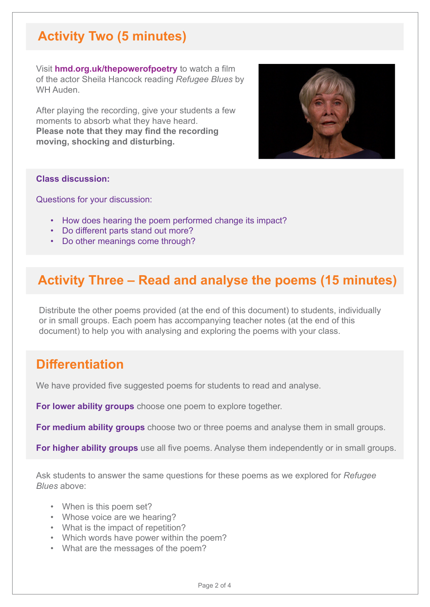## **Activity Two (5 minutes)**

Visit **hmd.org.uk/thepowerofpoetry** to watch a film of the actor Sheila Hancock reading *Refugee Blues* by WH Auden.

After playing the recording, give your students a few moments to absorb what they have heard. **Please note that they may find the recording moving, shocking and disturbing.**



#### **Class discussion:**

Questions for your discussion:

- How does hearing the poem performed change its impact?
- Do different parts stand out more?
- Do other meanings come through?

## **Activity Three – Read and analyse the poems (15 minutes)**

Distribute the other poems provided (at the end of this document) to students, individually or in small groups. Each poem has accompanying teacher notes (at the end of this document) to help you with analysing and exploring the poems with your class.

#### **Differentiation**

We have provided five suggested poems for students to read and analyse.

**For lower ability groups** choose one poem to explore together.

**For medium ability groups** choose two or three poems and analyse them in small groups.

**For higher ability groups** use all five poems. Analyse them independently or in small groups.

Ask students to answer the same questions for these poems as we explored for *Refugee Blues* above:

- When is this poem set?
- Whose voice are we hearing?
- What is the impact of repetition?
- Which words have power within the poem?
- What are the messages of the poem?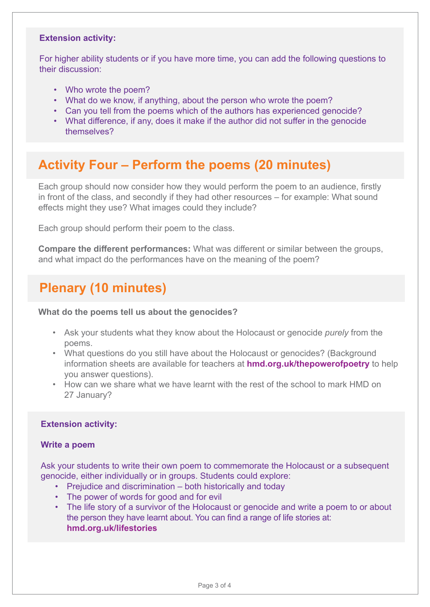#### **Extension activity:**

For higher ability students or if you have more time, you can add the following questions to their discussion:

- Who wrote the poem?
- What do we know, if anything, about the person who wrote the poem?
- Can you tell from the poems which of the authors has experienced genocide?
- What difference, if any, does it make if the author did not suffer in the genocide themselves?

#### **Activity Four – Perform the poems (20 minutes)**

Each group should now consider how they would perform the poem to an audience, firstly in front of the class, and secondly if they had other resources – for example: What sound effects might they use? What images could they include?

Each group should perform their poem to the class.

**Compare the different performances:** What was different or similar between the groups, and what impact do the performances have on the meaning of the poem?

## **Plenary (10 minutes)**

**What do the poems tell us about the genocides?** 

- Ask your students what they know about the Holocaust or genocide *purely* from the poems.
- What questions do you still have about the Holocaust or genocides? (Background information sheets are available for teachers at **hmd.org.uk/thepowerofpoetry** to help you answer questions).
- How can we share what we have learnt with the rest of the school to mark HMD on 27 January?

#### **Extension activity:**

#### **Write a poem**

Ask your students to write their own poem to commemorate the Holocaust or a subsequent genocide, either individually or in groups. Students could explore:

- Prejudice and discrimination both historically and today
- The power of words for good and for evil
- The life story of a survivor of the Holocaust or genocide and write a poem to or about the person they have learnt about. You can find a range of life stories at: **hmd.org.uk/lifestories**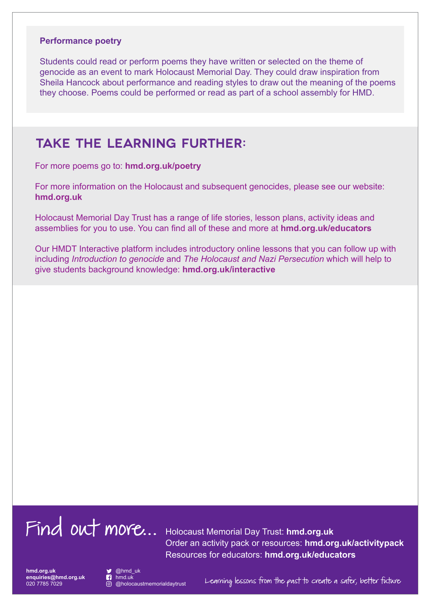#### **Performance poetry**

Students could read or perform poems they have written or selected on the theme of genocide as an event to mark Holocaust Memorial Day. They could draw inspiration from Sheila Hancock about performance and reading styles to draw out the meaning of the poems they choose. Poems could be performed or read as part of a school assembly for HMD.

#### **TAKE THE LEARNING FURTHER:**

For more poems go to: **hmd.org.uk/poetry**

For more information on the Holocaust and subsequent genocides, please see our website: **hmd.org.uk**

Holocaust Memorial Day Trust has a range of life stories, lesson plans, activity ideas and assemblies for you to use. You can find all of these and more at **hmd.org.uk/educators**

Our HMDT Interactive platform includes introductory online lessons that you can follow up with including *Introduction to genocide* and *The Holocaust and Nazi Persecution* which will help to give students background knowledge: **hmd.org.uk/interactive**

# Find out more... Holocaust Memorial Day Trust: **hmd.org.uk**

Order an activity pack or resources: **hmd.org.uk/activitypack** Resources for educators: **hmd.org.uk/educators**

**hmd.org.uk enquiries@hmd.org.uk** 020 7785 7029



nmd.uk<br>
© @holocaustmemorialdaytrust

 $\overline{\circ}$  @holocaustmemorialdaytrust Learning lessons from the past to create a safer, better future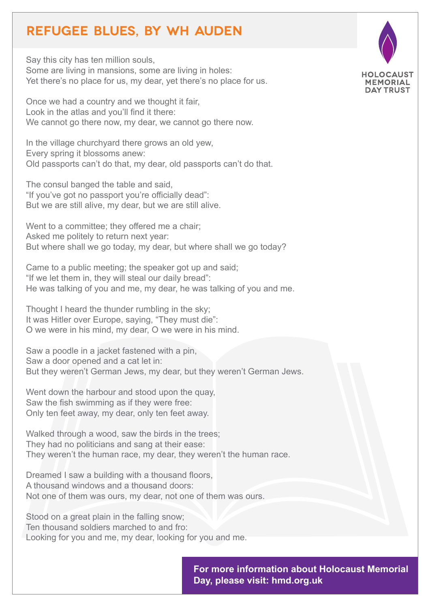## **REFUGEE BLUES, BY WH AUDEN**

Say this city has ten million souls, Some are living in mansions, some are living in holes: Yet there's no place for us, my dear, yet there's no place for us.

Once we had a country and we thought it fair, Look in the atlas and you'll find it there: We cannot go there now, my dear, we cannot go there now.

In the village churchyard there grows an old yew, Every spring it blossoms anew: Old passports can't do that, my dear, old passports can't do that.

The consul banged the table and said, "If you've got no passport you're officially dead": But we are still alive, my dear, but we are still alive.

Went to a committee; they offered me a chair: Asked me politely to return next year: But where shall we go today, my dear, but where shall we go today?

Came to a public meeting; the speaker got up and said; "If we let them in, they will steal our daily bread": He was talking of you and me, my dear, he was talking of you and me.

Thought I heard the thunder rumbling in the sky; It was Hitler over Europe, saying, "They must die": O we were in his mind, my dear, O we were in his mind.

Saw a poodle in a jacket fastened with a pin, Saw a door opened and a cat let in: But they weren't German Jews, my dear, but they weren't German Jews.

Went down the harbour and stood upon the quay. Saw the fish swimming as if they were free: Only ten feet away, my dear, only ten feet away.

Walked through a wood, saw the birds in the trees; They had no politicians and sang at their ease: They weren't the human race, my dear, they weren't the human race.

Dreamed I saw a building with a thousand floors, A thousand windows and a thousand doors: Not one of them was ours, my dear, not one of them was ours.

Stood on a great plain in the falling snow; Ten thousand soldiers marched to and fro: Looking for you and me, my dear, looking for you and me.

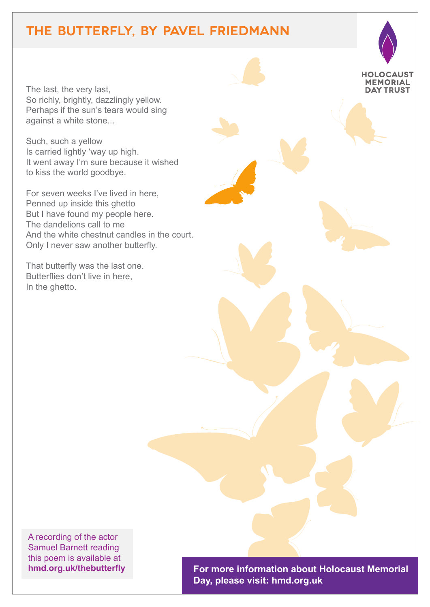## **THE BUTTERFLY, BY PAVEL FRIEDMANN**

The last, the very last, So richly, brightly, dazzlingly yellow. Perhaps if the sun's tears would sing against a white stone...

Such, such a yellow Is carried lightly 'way up high. It went away I'm sure because it wished to kiss the world goodbye.

For seven weeks I've lived in here, Penned up inside this ghetto But I have found my people here. The dandelions call to me And the white chestnut candles in the court. Only I never saw another butterfly.

That butterfly was the last one. Butterflies don't live in here, In the ghetto.

 A recording of the actor Samuel Barnett reading this poem is available at **hmd.org.uk/thebutterfly**

**For more information about Holocaust Memorial Day, please visit: hmd.org.uk**

**HOLOCAUST MEMORIAL DAY TRUST**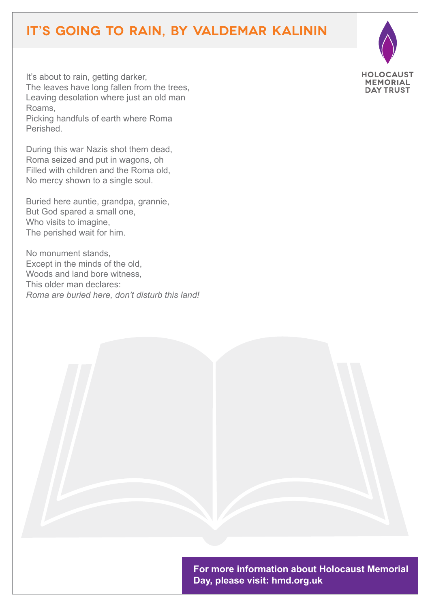#### **IT'S GOING TO RAIN, BY VALDEMAR KALININ**

It's about to rain, getting darker, The leaves have long fallen from the trees, Leaving desolation where just an old man Roams,

Picking handfuls of earth where Roma Perished.

During this war Nazis shot them dead, Roma seized and put in wagons, oh Filled with children and the Roma old, No mercy shown to a single soul.

Buried here auntie, grandpa, grannie, But God spared a small one, Who visits to imagine, The perished wait for him.

No monument stands, Except in the minds of the old, Woods and land bore witness, This older man declares: *Roma are buried here, don't disturb this land!*

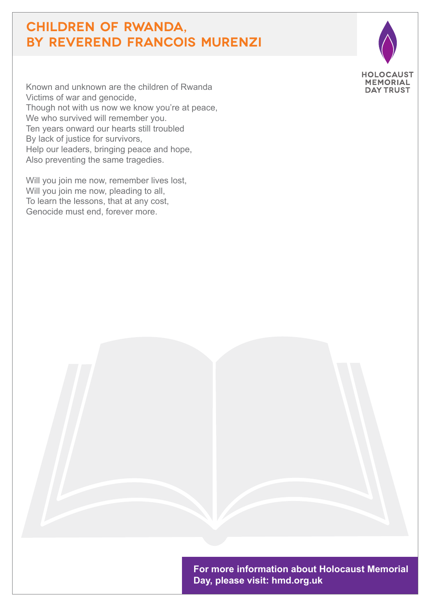#### **CHILDREN OF RWANDA, BY REVEREND FRANCOIS MURENZI**

Known and unknown are the children of Rwanda Victims of war and genocide, Though not with us now we know you're at peace, We who survived will remember you. Ten years onward our hearts still troubled By lack of justice for survivors, Help our leaders, bringing peace and hope, Also preventing the same tragedies.

Will you join me now, remember lives lost, Will you join me now, pleading to all, To learn the lessons, that at any cost, Genocide must end, forever more.

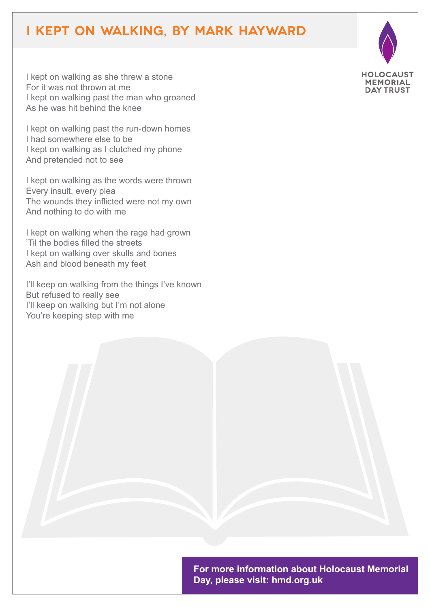#### **I KEPT ON WALKING, BY MARK HAYWARD**

I kept on walking as she threw a stone For it was not thrown at me I kept on walking past the man who groaned As he was hit behind the knee

I kept on walking past the run-down homes I had somewhere else to be I kept on walking as I clutched my phone And pretended not to see

I kept on walking as the words were thrown Every insult, every plea The wounds they inflicted were not my own And nothing to do with me

I kept on walking when the rage had grown 'Til the bodies filled the streets I kept on walking over skulls and bones Ash and blood beneath my feet

I'll keep on walking from the things I've known But refused to really see I'll keep on walking but I'm not alone You're keeping step with me

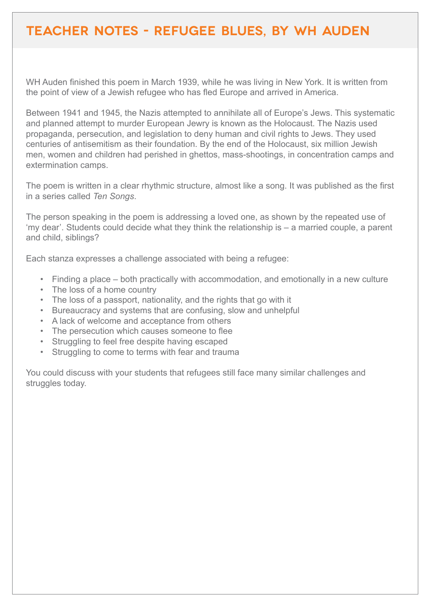## **TEACHER NOTES - REFUGEE BLUES, BY WH AUDEN**

WH Auden finished this poem in March 1939, while he was living in New York. It is written from the point of view of a Jewish refugee who has fled Europe and arrived in America.

Between 1941 and 1945, the Nazis attempted to annihilate all of Europe's Jews. This systematic and planned attempt to murder European Jewry is known as the Holocaust. The Nazis used propaganda, persecution, and legislation to deny human and civil rights to Jews. They used centuries of antisemitism as their foundation. By the end of the Holocaust, six million Jewish men, women and children had perished in ghettos, mass-shootings, in concentration camps and extermination camps.

The poem is written in a clear rhythmic structure, almost like a song. It was published as the first in a series called *Ten Songs*.

The person speaking in the poem is addressing a loved one, as shown by the repeated use of 'my dear'. Students could decide what they think the relationship is – a married couple, a parent and child, siblings?

Each stanza expresses a challenge associated with being a refugee:

- Finding a place both practically with accommodation, and emotionally in a new culture
- The loss of a home country
- The loss of a passport, nationality, and the rights that go with it
- Bureaucracy and systems that are confusing, slow and unhelpful
- A lack of welcome and acceptance from others
- The persecution which causes someone to flee
- Struggling to feel free despite having escaped
- Struggling to come to terms with fear and trauma

You could discuss with your students that refugees still face many similar challenges and struggles today.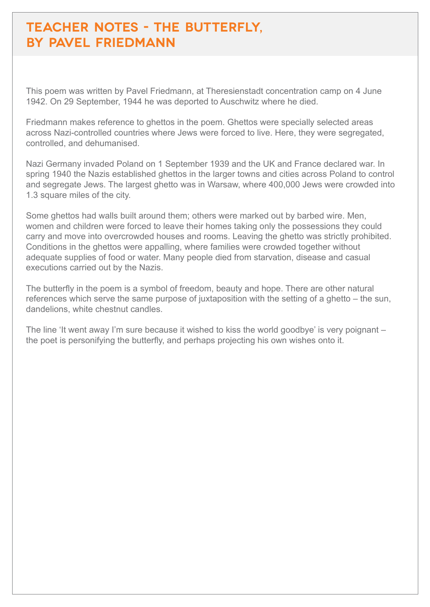#### **TEACHER NOTES - THE BUTTERFLY, BY PAVEL FRIEDMANN**

This poem was written by Pavel Friedmann, at Theresienstadt concentration camp on 4 June 1942. On 29 September, 1944 he was deported to Auschwitz where he died.

Friedmann makes reference to ghettos in the poem. Ghettos were specially selected areas across Nazi-controlled countries where Jews were forced to live. Here, they were segregated, controlled, and dehumanised.

Nazi Germany invaded Poland on 1 September 1939 and the UK and France declared war. In spring 1940 the Nazis established ghettos in the larger towns and cities across Poland to control and segregate Jews. The largest ghetto was in Warsaw, where 400,000 Jews were crowded into 1.3 square miles of the city.

Some ghettos had walls built around them; others were marked out by barbed wire. Men, women and children were forced to leave their homes taking only the possessions they could carry and move into overcrowded houses and rooms. Leaving the ghetto was strictly prohibited. Conditions in the ghettos were appalling, where families were crowded together without adequate supplies of food or water. Many people died from starvation, disease and casual executions carried out by the Nazis.

The butterfly in the poem is a symbol of freedom, beauty and hope. There are other natural references which serve the same purpose of juxtaposition with the setting of a ghetto – the sun, dandelions, white chestnut candles.

The line 'It went away I'm sure because it wished to kiss the world goodbye' is very poignant  $$ the poet is personifying the butterfly, and perhaps projecting his own wishes onto it.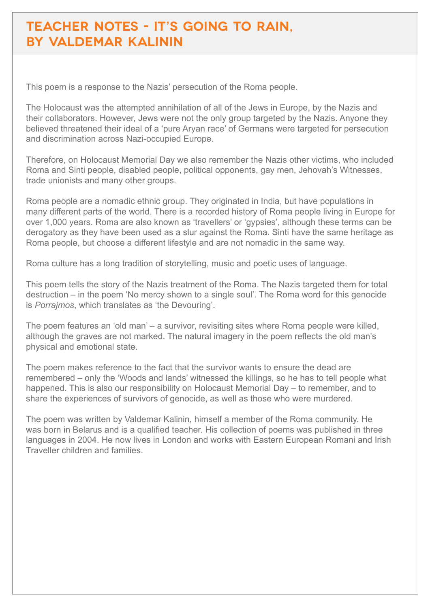## **TEACHER NOTES - IT'S GOING TO RAIN, BY VALDEMAR KALININ**

This poem is a response to the Nazis' persecution of the Roma people.

The Holocaust was the attempted annihilation of all of the Jews in Europe, by the Nazis and their collaborators. However, Jews were not the only group targeted by the Nazis. Anyone they believed threatened their ideal of a 'pure Aryan race' of Germans were targeted for persecution and discrimination across Nazi-occupied Europe.

Therefore, on Holocaust Memorial Day we also remember the Nazis other victims, who included Roma and Sinti people, disabled people, political opponents, gay men, Jehovah's Witnesses, trade unionists and many other groups.

Roma people are a nomadic ethnic group. They originated in India, but have populations in many different parts of the world. There is a recorded history of Roma people living in Europe for over 1,000 years. Roma are also known as 'travellers' or 'gypsies', although these terms can be derogatory as they have been used as a slur against the Roma. Sinti have the same heritage as Roma people, but choose a different lifestyle and are not nomadic in the same way.

Roma culture has a long tradition of storytelling, music and poetic uses of language.

This poem tells the story of the Nazis treatment of the Roma. The Nazis targeted them for total destruction – in the poem 'No mercy shown to a single soul'. The Roma word for this genocide is *Porrajmos*, which translates as 'the Devouring'.

The poem features an 'old man' – a survivor, revisiting sites where Roma people were killed, although the graves are not marked. The natural imagery in the poem reflects the old man's physical and emotional state.

The poem makes reference to the fact that the survivor wants to ensure the dead are remembered – only the 'Woods and lands' witnessed the killings, so he has to tell people what happened. This is also our responsibility on Holocaust Memorial Day – to remember, and to share the experiences of survivors of genocide, as well as those who were murdered.

The poem was written by Valdemar Kalinin, himself a member of the Roma community. He was born in Belarus and is a qualified teacher. His collection of poems was published in three languages in 2004. He now lives in London and works with Eastern European Romani and Irish Traveller children and families.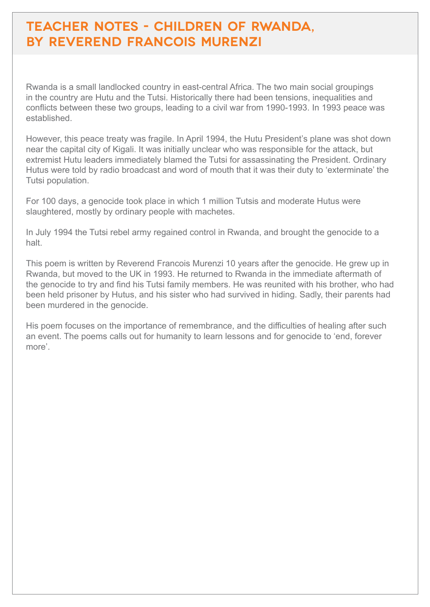## **TEACHER NOTES - CHILDREN OF RWANDA, BY REVEREND FRANCOIS MURENZI**

Rwanda is a small landlocked country in east-central Africa. The two main social groupings in the country are Hutu and the Tutsi. Historically there had been tensions, inequalities and conflicts between these two groups, leading to a civil war from 1990-1993. In 1993 peace was established.

However, this peace treaty was fragile. In April 1994, the Hutu President's plane was shot down near the capital city of Kigali. It was initially unclear who was responsible for the attack, but extremist Hutu leaders immediately blamed the Tutsi for assassinating the President. Ordinary Hutus were told by radio broadcast and word of mouth that it was their duty to 'exterminate' the Tutsi population.

For 100 days, a genocide took place in which 1 million Tutsis and moderate Hutus were slaughtered, mostly by ordinary people with machetes.

In July 1994 the Tutsi rebel army regained control in Rwanda, and brought the genocide to a halt.

This poem is written by Reverend Francois Murenzi 10 years after the genocide. He grew up in Rwanda, but moved to the UK in 1993. He returned to Rwanda in the immediate aftermath of the genocide to try and find his Tutsi family members. He was reunited with his brother, who had been held prisoner by Hutus, and his sister who had survived in hiding. Sadly, their parents had been murdered in the genocide.

His poem focuses on the importance of remembrance, and the difficulties of healing after such an event. The poems calls out for humanity to learn lessons and for genocide to 'end, forever more'.